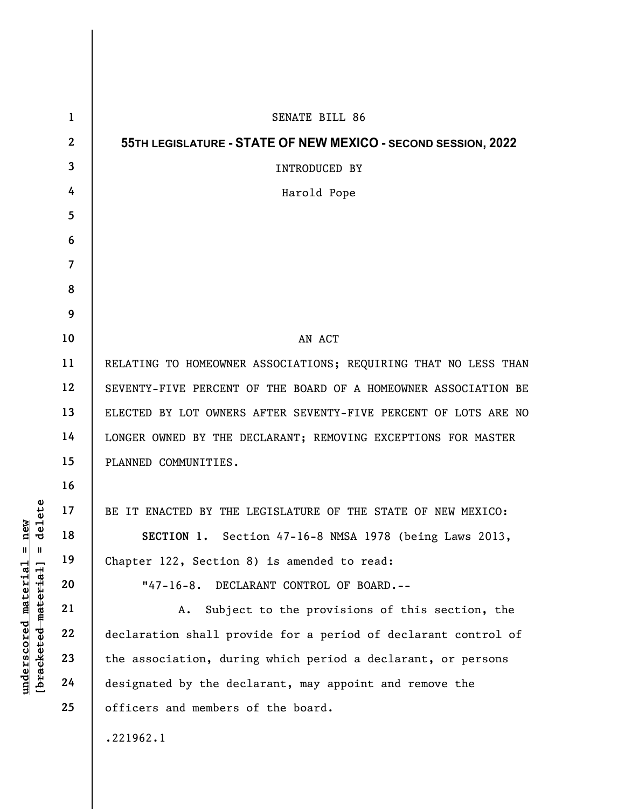|                                                                                                                        | $\mathbf{1}$   | <b>SENATE BILL 86</b>                                           |
|------------------------------------------------------------------------------------------------------------------------|----------------|-----------------------------------------------------------------|
|                                                                                                                        | $\mathbf{2}$   | 55TH LEGISLATURE - STATE OF NEW MEXICO - SECOND SESSION, 2022   |
|                                                                                                                        | 3              | INTRODUCED BY                                                   |
|                                                                                                                        | 4              | Harold Pope                                                     |
|                                                                                                                        | 5              |                                                                 |
|                                                                                                                        | 6              |                                                                 |
|                                                                                                                        | $\overline{7}$ |                                                                 |
|                                                                                                                        | 8              |                                                                 |
|                                                                                                                        | 9              |                                                                 |
|                                                                                                                        | 10             | AN ACT                                                          |
|                                                                                                                        | 11             | RELATING TO HOMEOWNER ASSOCIATIONS; REQUIRING THAT NO LESS THAN |
| elete<br>new<br>᠊ᢦ<br>$^{\mathsf{II}}$<br>$\mathsf{II}$<br>[ <del>bracketed material</del> ]<br>$underscored$ material | 12             | SEVENTY-FIVE PERCENT OF THE BOARD OF A HOMEOWNER ASSOCIATION BE |
|                                                                                                                        | 13             | ELECTED BY LOT OWNERS AFTER SEVENTY-FIVE PERCENT OF LOTS ARE NO |
|                                                                                                                        | 14             | LONGER OWNED BY THE DECLARANT; REMOVING EXCEPTIONS FOR MASTER   |
|                                                                                                                        | 15             | PLANNED COMMUNITIES.                                            |
|                                                                                                                        | 16             |                                                                 |
|                                                                                                                        | 17             | BE IT ENACTED BY THE LEGISLATURE OF THE STATE OF NEW MEXICO:    |
|                                                                                                                        | 18             | SECTION 1. Section 47-16-8 NMSA 1978 (being Laws 2013,          |
|                                                                                                                        | 19             | Chapter 122, Section 8) is amended to read:                     |
|                                                                                                                        | 20             | "47-16-8. DECLARANT CONTROL OF BOARD.--                         |
|                                                                                                                        | 21             | Subject to the provisions of this section, the<br>Α.            |
|                                                                                                                        | 22             | declaration shall provide for a period of declarant control of  |
|                                                                                                                        | 23             | the association, during which period a declarant, or persons    |
|                                                                                                                        | 24             | designated by the declarant, may appoint and remove the         |
|                                                                                                                        | 25             | officers and members of the board.                              |
|                                                                                                                        |                | .221962.1                                                       |
|                                                                                                                        |                |                                                                 |

 $\overline{\phantom{a}}$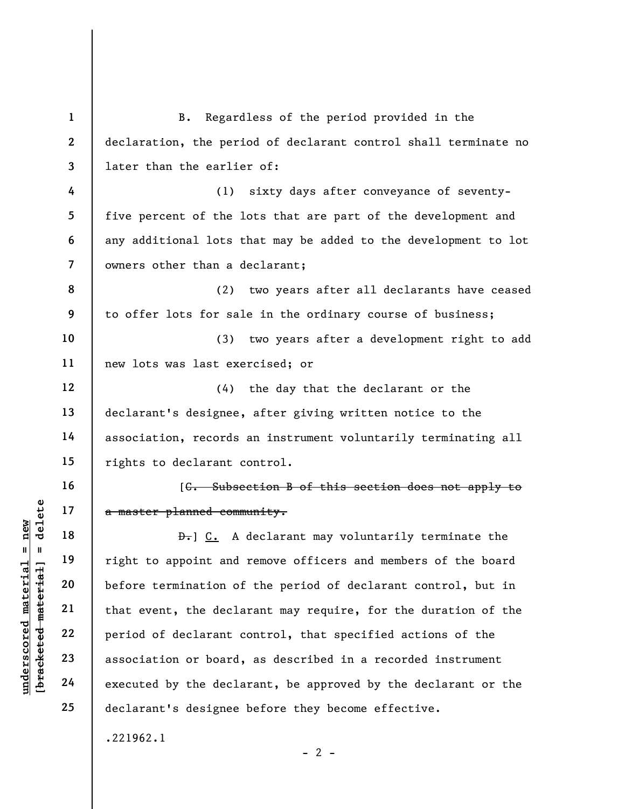underscored material = new [bracketed material] = delete 1 2 3 4 5 6 7 8 9 10 11 12 13 14 15 16 17 18 19 20 21 22 23 24 25 B. Regardless of the period provided in the declaration, the period of declarant control shall terminate no later than the earlier of: (1) sixty days after conveyance of seventyfive percent of the lots that are part of the development and any additional lots that may be added to the development to lot owners other than a declarant; (2) two years after all declarants have ceased to offer lots for sale in the ordinary course of business; (3) two years after a development right to add new lots was last exercised; or (4) the day that the declarant or the declarant's designee, after giving written notice to the association, records an instrument voluntarily terminating all rights to declarant control. [C. Subsection B of this section does not apply to a master planned community. D. C. A declarant may voluntarily terminate the right to appoint and remove officers and members of the board before termination of the period of declarant control, but in that event, the declarant may require, for the duration of the period of declarant control, that specified actions of the association or board, as described in a recorded instrument executed by the declarant, be approved by the declarant or the declarant's designee before they become effective. .221962.1

 $- 2 -$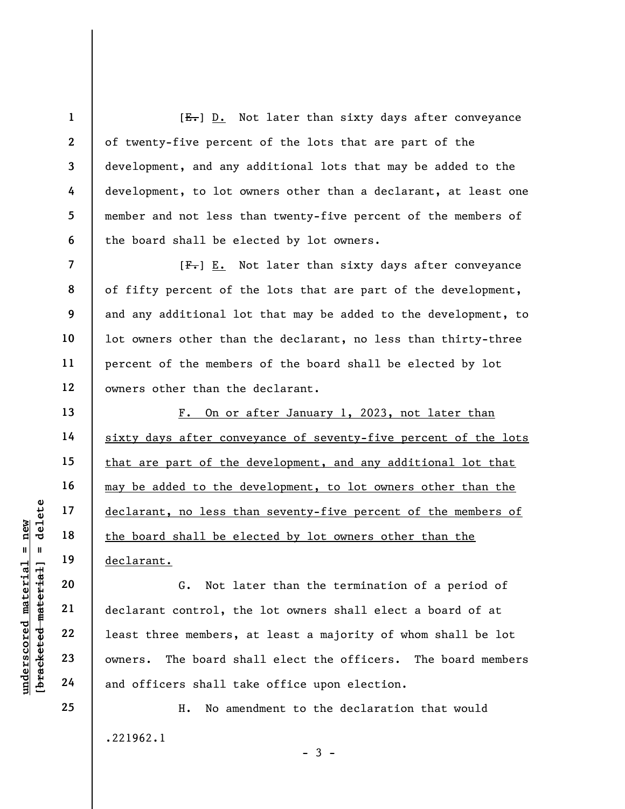[E.] D. Not later than sixty days after conveyance of twenty-five percent of the lots that are part of the development, and any additional lots that may be added to the development, to lot owners other than a declarant, at least one member and not less than twenty-five percent of the members of the board shall be elected by lot owners.

 $[F-] E.$  Not later than sixty days after conveyance of fifty percent of the lots that are part of the development, and any additional lot that may be added to the development, to lot owners other than the declarant, no less than thirty-three percent of the members of the board shall be elected by lot owners other than the declarant.

F. On or after January 1, 2023, not later than sixty days after conveyance of seventy-five percent of the lots that are part of the development, and any additional lot that may be added to the development, to lot owners other than the declarant, no less than seventy-five percent of the members of the board shall be elected by lot owners other than the declarant.

underscored material of the board shall be elderder in the board shall be elder the board shall be elder the board shall be elder the board shall be elder the board shall case of the board shall case of the board shall the G. Not later than the termination of a period of declarant control, the lot owners shall elect a board of at least three members, at least a majority of whom shall be lot owners. The board shall elect the officers. The board members and officers shall take office upon election.

> H. No amendment to the declaration that would .221962.1  $-3 -$

1

2

3

4

5

6

7

8

9

10

11

12

13

14

15

16

17

18

19

20

21

22

23

24

25